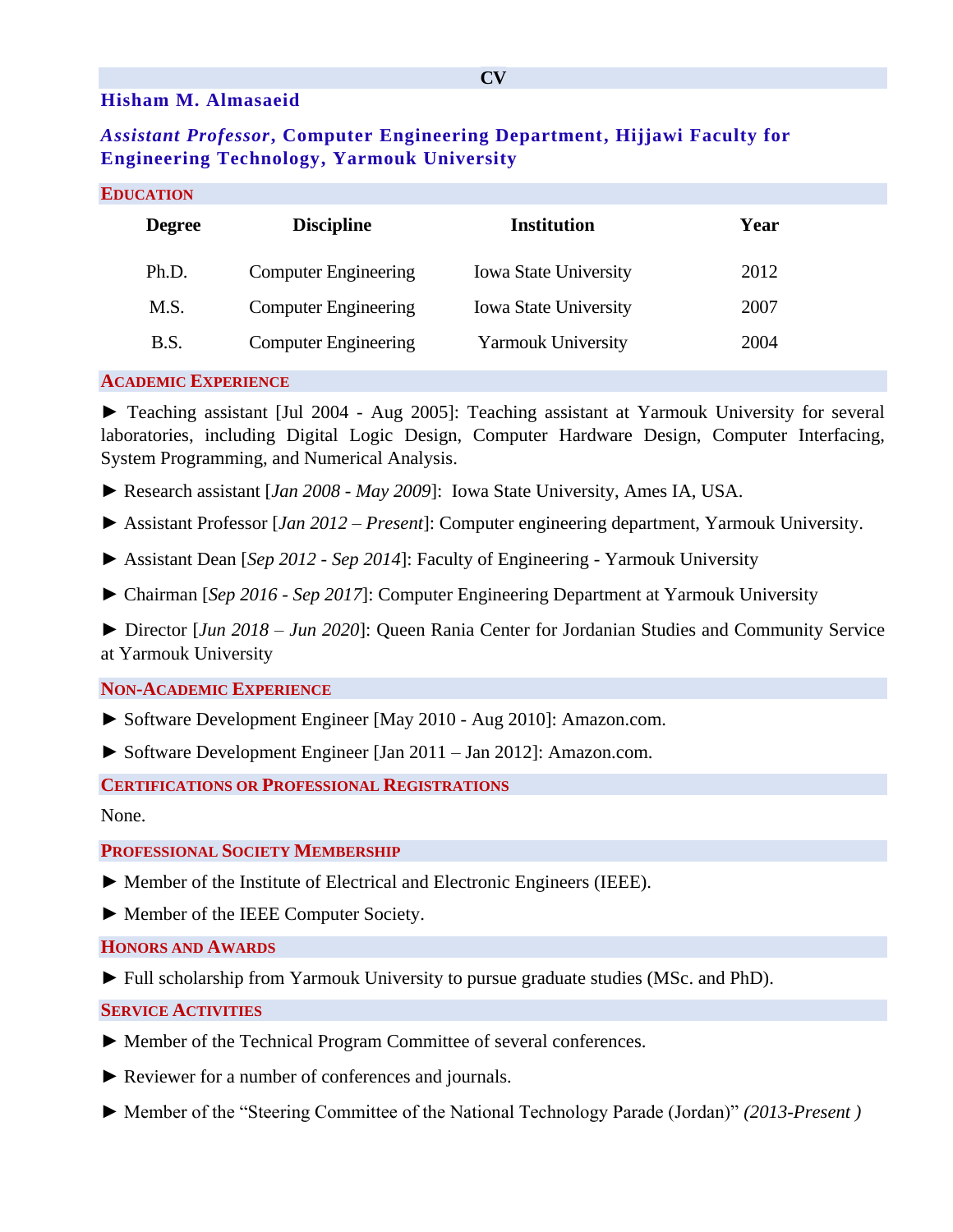## **Hisham M. Almasaeid**

# *Assistant Professor***, Computer Engineering Department, Hijjawi Faculty for Engineering Technology, Yarmouk University**

#### **EDUCATION**

| <b>Degree</b> | <b>Discipline</b>           | Institution                  | Year |
|---------------|-----------------------------|------------------------------|------|
| Ph.D.         | <b>Computer Engineering</b> | <b>Iowa State University</b> | 2012 |
| M.S.          | <b>Computer Engineering</b> | <b>Iowa State University</b> | 2007 |
| B.S.          | <b>Computer Engineering</b> | <b>Yarmouk University</b>    | 2004 |

### **ACADEMIC EXPERIENCE**

► Teaching assistant [Jul 2004 - Aug 2005]: Teaching assistant at Yarmouk University for several laboratories, including Digital Logic Design, Computer Hardware Design, Computer Interfacing, System Programming, and Numerical Analysis.

► Research assistant [*Jan 2008 - May 2009*]: Iowa State University, Ames IA, USA.

► Assistant Professor [*Jan 2012 – Present*]: Computer engineering department, Yarmouk University.

- ► Assistant Dean [*Sep 2012 - Sep 2014*]: Faculty of Engineering Yarmouk University
- ► Chairman [*Sep 2016 - Sep 2017*]: Computer Engineering Department at Yarmouk University

► Director [*Jun 2018 – Jun 2020*]: Queen Rania Center for Jordanian Studies and Community Service at Yarmouk University

#### **NON-ACADEMIC EXPERIENCE**

- ► Software Development Engineer [May 2010 Aug 2010]: Amazon.com.
- ► Software Development Engineer [Jan 2011 Jan 2012]: Amazon.com.

### **CERTIFICATIONS OR PROFESSIONAL REGISTRATIONS**

None.

#### **PROFESSIONAL SOCIETY MEMBERSHIP**

- ► Member of the Institute of Electrical and Electronic Engineers (IEEE).
- ► Member of the IEEE Computer Society.

#### **HONORS AND AWARDS**

► Full scholarship from Yarmouk University to pursue graduate studies (MSc. and PhD).

### **SERVICE ACTIVITIES**

- ► Member of the Technical Program Committee of several conferences.
- ► Reviewer for a number of conferences and journals.
- ► Member of the "Steering Committee of the National Technology Parade (Jordan)" *(2013-Present )*